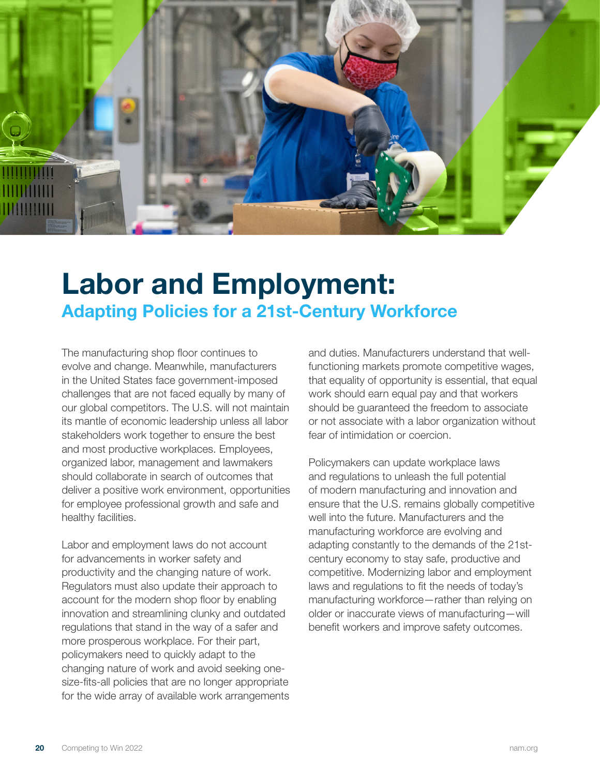

## **Labor and Employment: Adapting Policies for a 21st-Century Workforce**

The manufacturing shop floor continues to evolve and change. Meanwhile, manufacturers in the United States face government-imposed challenges that are not faced equally by many of our global competitors. The U.S. will not maintain its mantle of economic leadership unless all labor stakeholders work together to ensure the best and most productive workplaces. Employees, organized labor, management and lawmakers should collaborate in search of outcomes that deliver a positive work environment, opportunities for employee professional growth and safe and healthy facilities.

Labor and employment laws do not account for advancements in worker safety and productivity and the changing nature of work. Regulators must also update their approach to account for the modern shop floor by enabling innovation and streamlining clunky and outdated regulations that stand in the way of a safer and more prosperous workplace. For their part, policymakers need to quickly adapt to the changing nature of work and avoid seeking onesize-fits-all policies that are no longer appropriate for the wide array of available work arrangements and duties. Manufacturers understand that wellfunctioning markets promote competitive wages, that equality of opportunity is essential, that equal work should earn equal pay and that workers should be guaranteed the freedom to associate or not associate with a labor organization without fear of intimidation or coercion.

Policymakers can update workplace laws and regulations to unleash the full potential of modern manufacturing and innovation and ensure that the U.S. remains globally competitive well into the future. Manufacturers and the manufacturing workforce are evolving and adapting constantly to the demands of the 21stcentury economy to stay safe, productive and competitive. Modernizing labor and employment laws and regulations to fit the needs of today's manufacturing workforce—rather than relying on older or inaccurate views of manufacturing—will benefit workers and improve safety outcomes.